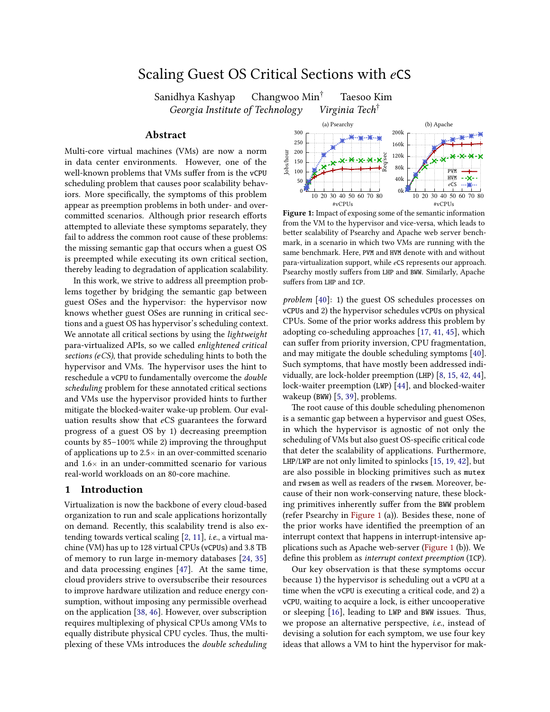# Scaling Guest OS Critical Sections with *e*CS

Sanidhya Kashyap Changwoo Min† Taesoo Kim Georgia Institute of Technology Virginia Tech<sup>†</sup>

### Abstract

Multi-core virtual machines (VMs) are now a norm in data center environments. However, one of the well-known problems that VMs suffer from is the vCPU scheduling problem that causes poor scalability behaviors. More specifically, the symptoms of this problem appear as preemption problems in both under- and overcommitted scenarios. Although prior research efforts attempted to alleviate these symptoms separately, they fail to address the common root cause of these problems: the missing semantic gap that occurs when a guest OS is preempted while executing its own critical section, thereby leading to degradation of application scalability.

In this work, we strive to address all preemption problems together by bridging the semantic gap between guest OSes and the hypervisor: the hypervisor now knows whether guest OSes are running in critical sections and a guest OS has hypervisor's scheduling context. We annotate all critical sections by using the lightweight para-virtualized APIs, so we called enlightened critical sections (*e*CS), that provide scheduling hints to both the hypervisor and VMs. The hypervisor uses the hint to reschedule a vCPU to fundamentally overcome the double scheduling problem for these annotated critical sections and VMs use the hypervisor provided hints to further mitigate the blocked-waiter wake-up problem. Our evaluation results show that *e*CS guarantees the forward progress of a guest OS by 1) decreasing preemption counts by 85–100% while 2) improving the throughput of applications up to  $2.5\times$  in an over-committed scenario and  $1.6\times$  in an under-committed scenario for various real-world workloads on an 80-core machine.

## 1 Introduction

Virtualization is now the backbone of every cloud-based organization to run and scale applications horizontally on demand. Recently, this scalability trend is also extending towards vertical scaling [\[2,](#page-11-0) [11\]](#page-11-1), i.e., a virtual machine (VM) has up to 128 virtual CPUs (vCPUs) and 3.8 TB of memory to run large in-memory databases [\[24,](#page-11-2) [35\]](#page-11-3) and data processing engines [\[47\]](#page-12-0). At the same time, cloud providers strive to oversubscribe their resources to improve hardware utilization and reduce energy consumption, without imposing any permissible overhead on the application [\[38,](#page-12-1) [46\]](#page-12-2). However, over subscription requires multiplexing of physical CPUs among VMs to equally distribute physical CPU cycles. Thus, the multiplexing of these VMs introduces the double scheduling

<span id="page-0-0"></span>

Figure 1: Impact of exposing some of the semantic information from the VM to the hypervisor and vice-versa, which leads to better scalability of Psearchy and Apache web server benchmark, in a scenario in which two VMs are running with the same benchmark. Here, PVM and HVM denote with and without para-virtualization support, while *e*CS represents our approach. Psearchy mostly suffers from LHP and BWW. Similarly, Apache suffers from LHP and ICP.

problem [\[40\]](#page-12-3): 1) the guest OS schedules processes on vCPUs and 2) the hypervisor schedules vCPUs on physical CPUs. Some of the prior works address this problem by adopting co-scheduling approaches [\[17,](#page-11-4) [41,](#page-12-4) [45\]](#page-12-5), which can suffer from priority inversion, CPU fragmentation, and may mitigate the double scheduling symptoms [\[40\]](#page-12-3). Such symptoms, that have mostly been addressed individually, are lock-holder preemption (LHP) [\[8,](#page-11-5) [15,](#page-11-6) [42,](#page-12-6) [44\]](#page-12-7), lock-waiter preemption (LWP) [\[44\]](#page-12-7), and blocked-waiter wakeup (BWW) [\[5,](#page-11-7) [39\]](#page-12-8), problems.

The root cause of this double scheduling phenomenon is a semantic gap between a hypervisor and guest OSes, in which the hypervisor is agnostic of not only the scheduling of VMs but also guest OS-specific critical code that deter the scalability of applications. Furthermore, LHP/LWP are not only limited to spinlocks [\[15,](#page-11-6) [19,](#page-11-8) [42\]](#page-12-6), but are also possible in blocking primitives such as mutex and rwsem as well as readers of the rwsem. Moreover, because of their non work-conserving nature, these blocking primitives inherently suffer from the BWW problem (refer Psearchy in [Figure 1](#page-0-0) (a)). Besides these, none of the prior works have identified the preemption of an interrupt context that happens in interrupt-intensive applications such as Apache web-server [\(Figure 1](#page-0-0) (b)). We define this problem as interrupt context preemption (ICP).

Our key observation is that these symptoms occur because 1) the hypervisor is scheduling out a vCPU at a time when the vCPU is executing a critical code, and 2) a vCPU, waiting to acquire a lock, is either uncooperative or sleeping [\[16\]](#page-11-9), leading to LWP and BWW issues. Thus, we propose an alternative perspective, i.e., instead of devising a solution for each symptom, we use four key ideas that allows a VM to hint the hypervisor for mak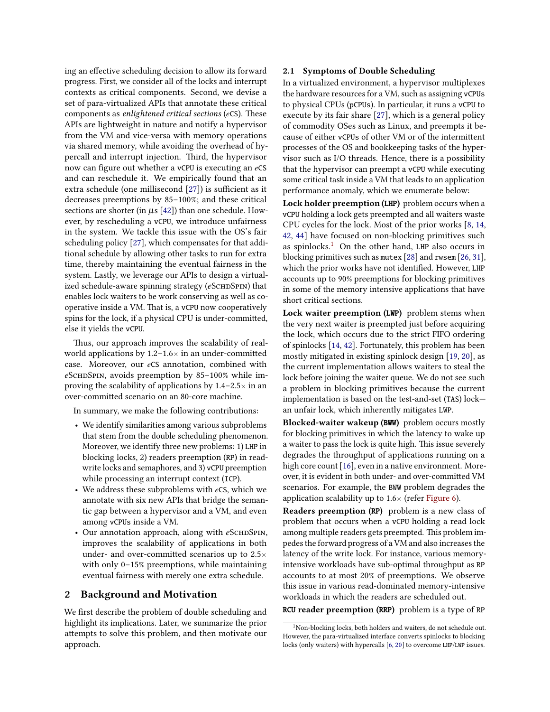ing an effective scheduling decision to allow its forward progress. First, we consider all of the locks and interrupt contexts as critical components. Second, we devise a set of para-virtualized APIs that annotate these critical components as enlightened critical sections (*e*CS). These APIs are lightweight in nature and notify a hypervisor from the VM and vice-versa with memory operations via shared memory, while avoiding the overhead of hypercall and interrupt injection. Third, the hypervisor now can figure out whether a vCPU is executing an *e*CS and can reschedule it. We empirically found that an extra schedule (one millisecond [\[27\]](#page-11-10)) is sufficient as it decreases preemptions by 85–100%; and these critical sections are shorter (in  $\mu$ s [\[42\]](#page-12-6)) than one schedule. However, by rescheduling a vCPU, we introduce unfairness in the system. We tackle this issue with the OS's fair scheduling policy [\[27\]](#page-11-10), which compensates for that additional schedule by allowing other tasks to run for extra time, thereby maintaining the eventual fairness in the system. Lastly, we leverage our APIs to design a virtualized schedule-aware spinning strategy (eSCHDSPIN) that enables lock waiters to be work conserving as well as cooperative inside a VM. That is, a vCPU now cooperatively spins for the lock, if a physical CPU is under-committed, else it yields the vCPU.

Thus, our approach improves the scalability of realworld applications by  $1.2-1.6\times$  in an under-committed case. Moreover, our *e*CS annotation, combined with *e*SchdSpin, avoids preemption by 85–100% while improving the scalability of applications by  $1.4-2.5\times$  in an over-committed scenario on an 80-core machine.

In summary, we make the following contributions:

- We identify similarities among various subproblems that stem from the double scheduling phenomenon. Moreover, we identify three new problems: 1) LHP in blocking locks, 2) readers preemption (RP) in readwrite locks and semaphores, and 3) vCPU preemption while processing an interrupt context (ICP).
- We address these subproblems with *e*CS, which we annotate with six new APIs that bridge the semantic gap between a hypervisor and a VM, and even among vCPUs inside a VM.
- Our annotation approach, along with *eSCHDSPIN*, improves the scalability of applications in both under- and over-committed scenarios up to 2.5× with only 0–15% preemptions, while maintaining eventual fairness with merely one extra schedule.

## 2 Background and Motivation

We first describe the problem of double scheduling and highlight its implications. Later, we summarize the prior attempts to solve this problem, and then motivate our approach.

#### 2.1 Symptoms of Double Scheduling

In a virtualized environment, a hypervisor multiplexes the hardware resources for a VM, such as assigning vCPUs to physical CPUs (pCPUs). In particular, it runs a vCPU to execute by its fair share [\[27\]](#page-11-10), which is a general policy of commodity OSes such as Linux, and preempts it because of either vCPUs of other VM or of the intermittent processes of the OS and bookkeeping tasks of the hypervisor such as I/O threads. Hence, there is a possibility that the hypervisor can preempt a vCPU while executing some critical task inside a VM that leads to an application performance anomaly, which we enumerate below:

Lock holder preemption (LHP) problem occurs when a vCPU holding a lock gets preempted and all waiters waste CPU cycles for the lock. Most of the prior works [\[8,](#page-11-5) [14,](#page-11-11) [42,](#page-12-6) [44\]](#page-12-7) have focused on non-blocking primitives such as spinlocks.[1](#page-1-0) On the other hand, LHP also occurs in blocking primitives such as mutex [\[28\]](#page-11-12) and rwsem [\[26,](#page-11-13) [31\]](#page-11-14), which the prior works have not identified. However, LHP accounts up to 90% preemptions for blocking primitives in some of the memory intensive applications that have short critical sections.

Lock waiter preemption (LWP) problem stems when the very next waiter is preempted just before acquiring the lock, which occurs due to the strict FIFO ordering of spinlocks [\[14,](#page-11-11) [42\]](#page-12-6). Fortunately, this problem has been mostly mitigated in existing spinlock design [\[19,](#page-11-8) [20\]](#page-11-15), as the current implementation allows waiters to steal the lock before joining the waiter queue. We do not see such a problem in blocking primitives because the current implementation is based on the test-and-set (TAS) lock an unfair lock, which inherently mitigates LWP.

Blocked-waiter wakeup (BWW) problem occurs mostly for blocking primitives in which the latency to wake up a waiter to pass the lock is quite high. This issue severely degrades the throughput of applications running on a high core count [\[16\]](#page-11-9), even in a native environment. Moreover, it is evident in both under- and over-committed VM scenarios. For example, the BWW problem degrades the application scalability up to  $1.6 \times$  (refer [Figure 6\)](#page-8-0).

Readers preemption (RP) problem is a new class of problem that occurs when a vCPU holding a read lock among multiple readers gets preempted. This problem impedes the forward progress of a VM and also increases the latency of the write lock. For instance, various memoryintensive workloads have sub-optimal throughput as RP accounts to at most 20% of preemptions. We observe this issue in various read-dominated memory-intensive workloads in which the readers are scheduled out.

RCU reader preemption (RRP) problem is a type of RP

<span id="page-1-0"></span> $^1$ Non-blocking locks, both holders and waiters, do not schedule out. However, the para-virtualized interface converts spinlocks to blocking locks (only waiters) with hypercalls [\[6,](#page-11-16) [20\]](#page-11-15) to overcome LHP/LWP issues.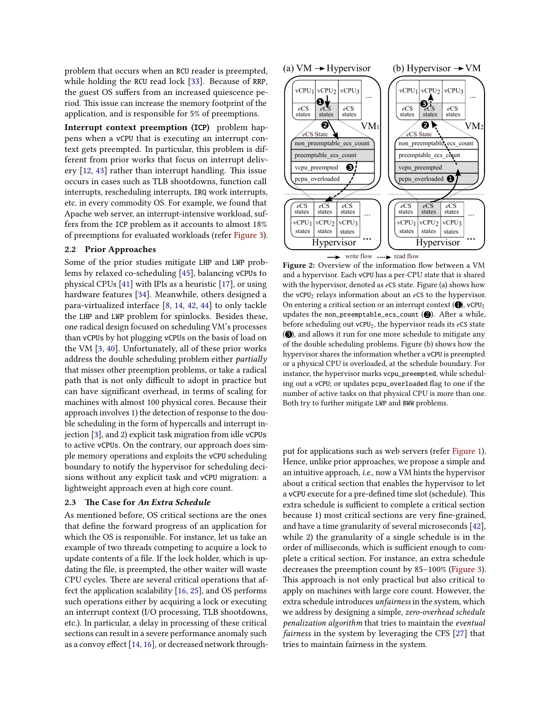problem that occurs when an RCU reader is preempted, while holding the RCU read lock [\[33\]](#page-11-17). Because of RRP, the guest OS suffers from an increased quiescence period. This issue can increase the memory footprint of the application, and is responsible for 5% of preemptions.

Interrupt context preemption (ICP) problem happens when a vCPU that is executing an interrupt context gets preempted. In particular, this problem is different from prior works that focus on interrupt delivery [\[12,](#page-11-18) [43\]](#page-12-9) rather than interrupt handling. This issue occurs in cases such as TLB shootdowns, function call interrupts, rescheduling interrupts, IRQ work interrupts, etc. in every commodity OS. For example, we found that Apache web server, an interrupt-intensive workload, suffers from the ICP problem as it accounts to almost 18% of preemptions for evaluated workloads (refer [Figure 3\)](#page-7-0).

#### 2.2 Prior Approaches

Some of the prior studies mitigate LHP and LWP problems by relaxed co-scheduling [\[45\]](#page-12-5), balancing vCPUs to physical CPUs [\[41\]](#page-12-4) with IPIs as a heuristic [\[17\]](#page-11-4), or using hardware features [\[34\]](#page-11-19). Meanwhile, others designed a para-virtualized interface [\[8,](#page-11-5) [14,](#page-11-11) [42,](#page-12-6) [44\]](#page-12-7) to only tackle the LHP and LWP problem for spinlocks. Besides these, one radical design focused on scheduling VM's processes than vCPUs by hot plugging vCPUs on the basis of load on the VM [\[3,](#page-11-20) [40\]](#page-12-3). Unfortunately, all of these prior works address the double scheduling problem either partially that misses other preemption problems, or take a radical path that is not only difficult to adopt in practice but can have significant overhead, in terms of scaling for machines with almost 100 physical cores. Because their approach involves 1) the detection of response to the double scheduling in the form of hypercalls and interrupt injection [\[3\]](#page-11-20), and 2) explicit task migration from idle vCPUs to active vCPUs. On the contrary, our approach does simple memory operations and exploits the vCPU scheduling boundary to notify the hypervisor for scheduling decisions without any explicit task and vCPU migration: a lightweight approach even at high core count.

#### 2.3 The Case for An Extra Schedule

As mentioned before, OS critical sections are the ones that define the forward progress of an application for which the OS is responsible. For instance, let us take an example of two threads competing to acquire a lock to update contents of a file. If the lock holder, which is updating the file, is preempted, the other waiter will waste CPU cycles. There are several critical operations that affect the application scalability [\[16,](#page-11-9) [25\]](#page-11-21), and OS performs such operations either by acquiring a lock or executing an interrupt context (I/O processing, TLB shootdowns, etc.). In particular, a delay in processing of these critical sections can result in a severe performance anomaly such as a convoy effect [\[14,](#page-11-11) [16\]](#page-11-9), or decreased network through-

<span id="page-2-0"></span>

Figure 2: Overview of the information flow between a VM and a hypervisor. Each vCPU has a per-CPU state that is shared with the hypervisor, denoted as *e*CS state. Figure (a) shows how the vCPU<sup>2</sup> relays information about an *e*CS to the hypervisor. On entering a critical section or an interrupt context  $(\mathbf{0})$ , vCPU<sub>2</sub> updates the non\_preemptable\_ecs\_count  $(②)$ . After a while, before scheduling out vCPU2, the hypervisor reads its *e*CS state ( $\bigcirc$ ), and allows it run for one more schedule to mitigate any of the double scheduling problems. Figure (b) shows how the hypervisor shares the information whether a vCPU is preempted or a physical CPU is overloaded, at the schedule boundary. For instance, the hypervisor marks vcpu\_preempted, while scheduling out a vCPU; or updates pcpu\_overloaded flag to one if the number of active tasks on that physical CPU is more than one. Both try to further mitigate LWP and BWW problems.

put for applications such as web servers (refer [Figure 1\)](#page-0-0). Hence, unlike prior approaches, we propose a simple and an intuitive approach, i.e., now a VM hints the hypervisor about a critical section that enables the hypervisor to let a vCPU execute for a pre-defined time slot (schedule). This extra schedule is sufficient to complete a critical section because 1) most critical sections are very fine-grained, and have a time granularity of several microseconds [\[42\]](#page-12-6), while 2) the granularity of a single schedule is in the order of milliseconds, which is sufficient enough to complete a critical section. For instance, an extra schedule decreases the preemption count by 85–100% [\(Figure 3\)](#page-7-0). This approach is not only practical but also critical to apply on machines with large core count. However, the extra schedule introduces unfairness in the system, which we address by designing a simple, zero-overhead schedule penalization algorithm that tries to maintain the eventual fairness in the system by leveraging the CFS [\[27\]](#page-11-10) that tries to maintain fairness in the system.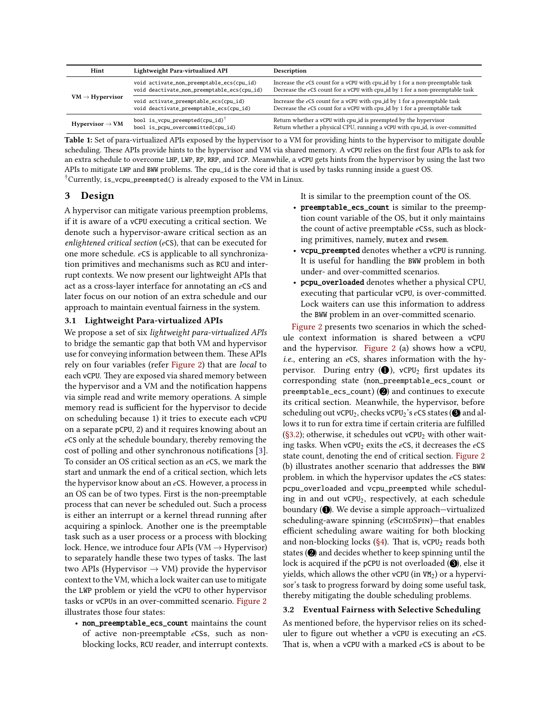<span id="page-3-1"></span>

| Hint                        | Lightweight Para-virtualized API                                                         | <b>Description</b>                                                                                                                                                   |
|-----------------------------|------------------------------------------------------------------------------------------|----------------------------------------------------------------------------------------------------------------------------------------------------------------------|
| $VM \rightarrow Hypervisor$ | void activate_non_preemptable_ecs(cpu_id)<br>void deactivate_non_preemptable_ecs(cpu_id) | Increase the $e$ CS count for a vCPU with cpu_id by 1 for a non-preemptable task<br>Decrease the $e$ CS count for a vCPU with cpu_id by 1 for a non-preemptable task |
|                             | void activate_preemptable_ecs(cpu_id)<br>void deactivate_preemptable_ecs(cpu_id)         | Increase the eCS count for a vCPU with cpu_id by 1 for a preemptable task<br>Decrease the eCS count for a vCPU with cpu_id by 1 for a preemptable task               |
| Hypervisor $\rightarrow$ VM | bool is_vcpu_preempted(cpu_id) <sup>†</sup><br>bool is_pcpu_overcommitted(cpu_id)        | Return whether a vCPU with cpulled is preempted by the hypervisor<br>Return whether a physical CPU, running a vCPU with cpu_id, is over-committed                    |

Table 1: Set of para-virtualized APIs exposed by the hypervisor to a VM for providing hints to the hypervisor to mitigate double scheduling. These APIs provide hints to the hypervisor and VM via shared memory. A vCPU relies on the first four APIs to ask for an extra schedule to overcome LHP, LWP, RP, RRP, and ICP. Meanwhile, a vCPU gets hints from the hypervisor by using the last two APIs to mitigate LWP and BWW problems. The cpu\_id is the core id that is used by tasks running inside a guest OS. †Currently, is\_vcpu\_preempted() is already exposed to the VM in Linux.

## 3 Design

A hypervisor can mitigate various preemption problems, if it is aware of a vCPU executing a critical section. We denote such a hypervisor-aware critical section as an enlightened critical section (*e*CS), that can be executed for one more schedule. *e*CS is applicable to all synchronization primitives and mechanisms such as RCU and interrupt contexts. We now present our lightweight APIs that act as a cross-layer interface for annotating an *e*CS and later focus on our notion of an extra schedule and our approach to maintain eventual fairness in the system.

## 3.1 Lightweight Para-virtualized APIs

We propose a set of six lightweight para-virtualized APIs to bridge the semantic gap that both VM and hypervisor use for conveying information between them. These APIs rely on four variables (refer [Figure 2\)](#page-2-0) that are local to each vCPU. They are exposed via shared memory between the hypervisor and a VM and the notification happens via simple read and write memory operations. A simple memory read is sufficient for the hypervisor to decide on scheduling because 1) it tries to execute each vCPU on a separate pCPU, 2) and it requires knowing about an *e*CS only at the schedule boundary, thereby removing the cost of polling and other synchronous notifications [\[3\]](#page-11-20). To consider an OS critical section as an *e*CS, we mark the start and unmark the end of a critical section, which lets the hypervisor know about an *e*CS. However, a process in an OS can be of two types. First is the non-preemptable process that can never be scheduled out. Such a process is either an interrupt or a kernel thread running after acquiring a spinlock. Another one is the preemptable task such as a user process or a process with blocking lock. Hence, we introduce four APIs (VM  $\rightarrow$  Hypervisor) to separately handle these two types of tasks. The last two APIs (Hypervisor  $\rightarrow$  VM) provide the hypervisor context to the VM, which a lock waiter can use to mitigate the LWP problem or yield the vCPU to other hypervisor tasks or vCPUs in an over-committed scenario. [Figure 2](#page-2-0) illustrates those four states:

• non\_preemptable\_ecs\_count maintains the count of active non-preemptable *e*CSs, such as nonblocking locks, RCU reader, and interrupt contexts. It is similar to the preemption count of the OS.

- preemptable\_ecs\_count is similar to the preemption count variable of the OS, but it only maintains the count of active preemptable *e*CSs, such as blocking primitives, namely, mutex and rwsem.
- vcpu\_preempted denotes whether a vCPU is running. It is useful for handling the BWW problem in both under- and over-committed scenarios.
- pcpu\_overloaded denotes whether a physical CPU, executing that particular vCPU, is over-committed. Lock waiters can use this information to address the BWW problem in an over-committed scenario.

[Figure 2](#page-2-0) presents two scenarios in which the schedule context information is shared between a vCPU and the hypervisor. [Figure 2](#page-2-0) (a) shows how a vCPU, i.e., entering an *<sup>e</sup>*CS, shares information with the hypervisor. During entry  $(①)$ , vCPU<sub>2</sub> first updates its corresponding state (non\_preemptable\_ecs\_count or preemptable\_ecs\_count)  $(2)$  and continues to execute its critical section. Meanwhile, the hypervisor, before scheduling out vCPU<sub>2</sub>, checks vCPU<sub>2</sub>'s *e*CS states (**3**) and allows it to run for extra time if certain criteria are fulfilled [\(§3.2\)](#page-3-0); otherwise, it schedules out  $v$ CPU<sub>2</sub> with other waiting tasks. When vCPU<sup>2</sup> exits the *e*CS, it decreases the *e*CS state count, denoting the end of critical section. [Figure 2](#page-2-0) (b) illustrates another scenario that addresses the BWW problem. in which the hypervisor updates the *e*CS states: pcpu\_overloaded and vcpu\_preempted while scheduling in and out vCPU2, respectively, at each schedule boundary  $(①)$ . We devise a simple approach—virtualized scheduling-aware spinning (eSCHDSPIN)-that enables efficient scheduling aware waiting for both blocking and non-blocking locks ( $\S$ 4). That is, vCPU<sub>2</sub> reads both states  $(2)$  and decides whether to keep spinning until the lock is acquired if the pCPU is not overloaded  $(③$ , else it yields, which allows the other vCPU (in VM<sub>2</sub>) or a hypervisor's task to progress forward by doing some useful task, thereby mitigating the double scheduling problems.

### <span id="page-3-0"></span>3.2 Eventual Fairness with Selective Scheduling

As mentioned before, the hypervisor relies on its scheduler to figure out whether a vCPU is executing an *e*CS. That is, when a vCPU with a marked *e*CS is about to be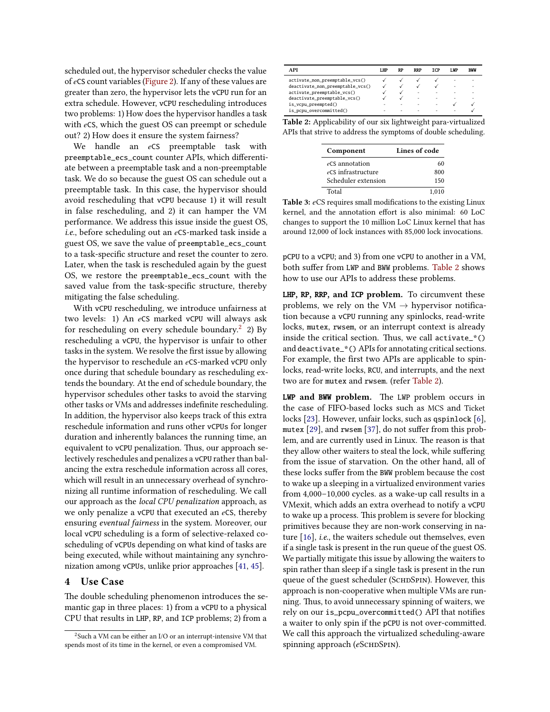scheduled out, the hypervisor scheduler checks the value of *e*CS count variables [\(Figure 2\)](#page-2-0). If any of these values are greater than zero, the hypervisor lets the vCPU run for an extra schedule. However, vCPU rescheduling introduces two problems: 1) How does the hypervisor handles a task with *e*CS, which the guest OS can preempt or schedule out? 2) How does it ensure the system fairness?

We handle an *e*CS preemptable task with preemptable\_ecs\_count counter APIs, which differentiate between a preemptable task and a non-preemptable task. We do so because the guest OS can schedule out a preemptable task. In this case, the hypervisor should avoid rescheduling that vCPU because 1) it will result in false rescheduling, and 2) it can hamper the VM performance. We address this issue inside the guest OS, i.e., before scheduling out an *<sup>e</sup>*CS-marked task inside a guest OS, we save the value of preemptable\_ecs\_count to a task-specific structure and reset the counter to zero. Later, when the task is rescheduled again by the guest OS, we restore the preemptable\_ecs\_count with the saved value from the task-specific structure, thereby mitigating the false scheduling.

With vCPU rescheduling, we introduce unfairness at two levels: 1) An *e*CS marked vCPU will always ask for rescheduling on every schedule boundary.<sup>[2](#page-4-1)</sup> 2) By rescheduling a vCPU, the hypervisor is unfair to other tasks in the system. We resolve the first issue by allowing the hypervisor to reschedule an *e*CS-marked vCPU only once during that schedule boundary as rescheduling extends the boundary. At the end of schedule boundary, the hypervisor schedules other tasks to avoid the starving other tasks or VMs and addresses indefinite rescheduling. In addition, the hypervisor also keeps track of this extra reschedule information and runs other vCPUs for longer duration and inherently balances the running time, an equivalent to vCPU penalization. Thus, our approach selectively reschedules and penalizes a vCPU rather than balancing the extra reschedule information across all cores, which will result in an unnecessary overhead of synchronizing all runtime information of rescheduling. We call our approach as the local CPU penalization approach, as we only penalize a vCPU that executed an *e*CS, thereby ensuring eventual fairness in the system. Moreover, our local vCPU scheduling is a form of selective-relaxed coscheduling of vCPUs depending on what kind of tasks are being executed, while without maintaining any synchronization among vCPUs, unlike prior approaches [\[41,](#page-12-4) [45\]](#page-12-5).

### <span id="page-4-0"></span>4 Use Case

The double scheduling phenomenon introduces the semantic gap in three places: 1) from a vCPU to a physical CPU that results in LHP, RP, and ICP problems; 2) from a

<span id="page-4-2"></span>

| A PI                             | <b>LHP</b> | <b>RP</b> | <b>RRP</b> | TCP | I VP                     | <b>BWW</b>               |
|----------------------------------|------------|-----------|------------|-----|--------------------------|--------------------------|
| activate_non_preemptable_vcs()   |            |           |            |     | ۰                        | $\overline{\phantom{a}}$ |
| deactivate_non_preemptable_vcs() |            |           |            |     | ۰                        | ۰                        |
| activate_preemptable_vcs()       |            |           | ۰          | ۰   | $\overline{\phantom{a}}$ | $\overline{\phantom{a}}$ |
| deactivate_preemptable_vcs()     |            |           | ۰          | ۰   | ۰                        | $\overline{\phantom{a}}$ |
| is_vcpu_preempted()              | ۰          | ۰         | ٠          | ۰   |                          |                          |
| is_pcpu_overcommitted()          | ۰          | ۰         | ۰          | ۰   | $\overline{\phantom{a}}$ |                          |

<span id="page-4-3"></span>Table 2: Applicability of our six lightweight para-virtualized APIs that strive to address the symptoms of double scheduling.

| Component           | Lines of code |  |  |
|---------------------|---------------|--|--|
| eCS annotation      | 60            |  |  |
| eCS infrastructure  | 800           |  |  |
| Scheduler extension | 150           |  |  |
| Total               | 1.010         |  |  |

Table 3: *e*CS requires small modifications to the existing Linux kernel, and the annotation effort is also minimal: 60 LoC changes to support the 10 million LoC Linux kernel that has around 12,000 of lock instances with 85,000 lock invocations.

pCPU to a vCPU; and 3) from one vCPU to another in a VM, both suffer from LWP and BWW problems. [Table 2](#page-4-2) shows how to use our APIs to address these problems.

LHP, RP, RRP, and ICP problem. To circumvent these problems, we rely on the VM  $\rightarrow$  hypervisor notification because a vCPU running any spinlocks, read-write locks, mutex, rwsem, or an interrupt context is already inside the critical section. Thus, we call activate\_\*() and deactivate\_\*() APIs for annotating critical sections. For example, the first two APIs are applicable to spinlocks, read-write locks, RCU, and interrupts, and the next two are for mutex and rwsem. (refer [Table 2\)](#page-4-2).

LWP and BWW problem. The LWP problem occurs in the case of FIFO-based locks such as MCS and Ticket locks [\[23\]](#page-11-22). However, unfair locks, such as qspinlock [\[6\]](#page-11-16), mutex [\[29\]](#page-11-23), and rwsem [\[37\]](#page-12-10), do not suffer from this problem, and are currently used in Linux. The reason is that they allow other waiters to steal the lock, while suffering from the issue of starvation. On the other hand, all of these locks suffer from the BWW problem because the cost to wake up a sleeping in a virtualized environment varies from 4,000–10,000 cycles. as a wake-up call results in a VMexit, which adds an extra overhead to notify a vCPU to wake up a process. This problem is severe for blocking primitives because they are non-work conserving in nature [\[16\]](#page-11-9), i.e., the waiters schedule out themselves, even if a single task is present in the run queue of the guest OS. We partially mitigate this issue by allowing the waiters to spin rather than sleep if a single task is present in the run queue of the guest scheduler (SCHDSPIN). However, this approach is non-cooperative when multiple VMs are running. Thus, to avoid unnecessary spinning of waiters, we rely on our is\_pcpu\_overcommitted() API that notifies a waiter to only spin if the pCPU is not over-committed. We call this approach the virtualized scheduling-aware spinning approach (eSCHDSPIN).

<span id="page-4-1"></span> $2$ Such a VM can be either an I/O or an interrupt-intensive VM that spends most of its time in the kernel, or even a compromised VM.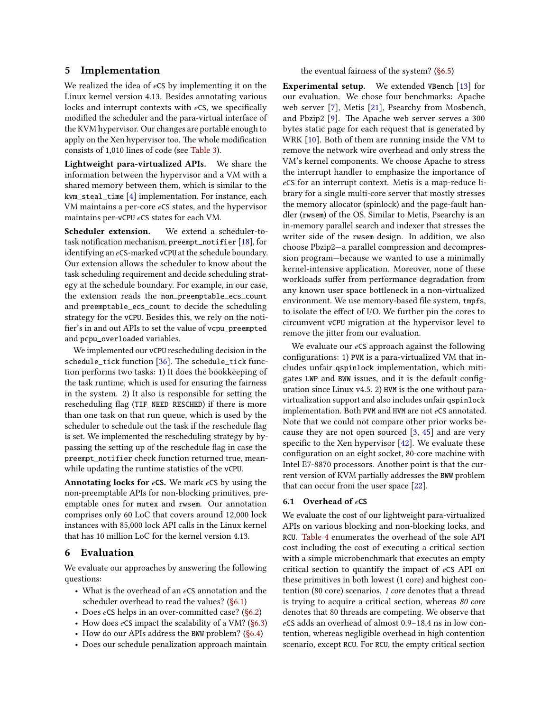## 5 Implementation

We realized the idea of *e*CS by implementing it on the Linux kernel version 4.13. Besides annotating various locks and interrupt contexts with *e*CS, we specifically modified the scheduler and the para-virtual interface of the KVM hypervisor. Our changes are portable enough to apply on the Xen hypervisor too. The whole modification consists of 1,010 lines of code (see [Table 3\)](#page-4-3).

Lightweight para-virtualized APIs. We share the information between the hypervisor and a VM with a shared memory between them, which is similar to the kvm\_steal\_time [\[4\]](#page-11-24) implementation. For instance, each VM maintains a per-core *e*CS states, and the hypervisor maintains per-vCPU *e*CS states for each VM.

Scheduler extension. We extend a scheduler-totask notification mechanism, preempt\_notifier [\[18\]](#page-11-25), for identifying an *e*CS-marked vCPU at the schedule boundary. Our extension allows the scheduler to know about the task scheduling requirement and decide scheduling strategy at the schedule boundary. For example, in our case, the extension reads the non\_preemptable\_ecs\_count and preemptable\_ecs\_count to decide the scheduling strategy for the vCPU. Besides this, we rely on the notifier's in and out APIs to set the value of vcpu\_preempted and pcpu\_overloaded variables.

We implemented our vCPU rescheduling decision in the schedule\_tick function [\[36\]](#page-11-26). The schedule\_tick function performs two tasks: 1) It does the bookkeeping of the task runtime, which is used for ensuring the fairness in the system. 2) It also is responsible for setting the rescheduling flag (TIF\_NEED\_RESCHED) if there is more than one task on that run queue, which is used by the scheduler to schedule out the task if the reschedule flag is set. We implemented the rescheduling strategy by bypassing the setting up of the reschedule flag in case the preempt\_notifier check function returned true, meanwhile updating the runtime statistics of the vCPU.

Annotating locks for *e*CS. We mark *e*CS by using the non-preemptable APIs for non-blocking primitives, preemptable ones for mutex and rwsem. Our annotation comprises only 60 LoC that covers around 12,000 lock instances with 85,000 lock API calls in the Linux kernel that has 10 million LoC for the kernel version 4.13.

## 6 Evaluation

We evaluate our approaches by answering the following questions:

- What is the overhead of an *e*CS annotation and the scheduler overhead to read the values? [\(§6.1\)](#page-5-0)
- Does *e*CS helps in an over-committed case? [\(§6.2\)](#page-6-0)
- How does *e*CS impact the scalability of a VM? [\(§6.3\)](#page-8-1)
- How do our APIs address the BWW problem? [\(§6.4\)](#page-8-2)
- Does our schedule penalization approach maintain

### the eventual fairness of the system? [\(§6.5\)](#page-9-0)

Experimental setup. We extended VBench [\[13\]](#page-11-27) for our evaluation. We chose four benchmarks: Apache web server [\[7\]](#page-11-28), Metis [\[21\]](#page-11-29), Psearchy from Mosbench, and Pbzip2 [\[9\]](#page-11-30). The Apache web server serves a 300 bytes static page for each request that is generated by WRK [\[10\]](#page-11-31). Both of them are running inside the VM to remove the network wire overhead and only stress the VM's kernel components. We choose Apache to stress the interrupt handler to emphasize the importance of *e*CS for an interrupt context. Metis is a map-reduce library for a single multi-core server that mostly stresses the memory allocator (spinlock) and the page-fault handler (rwsem) of the OS. Similar to Metis, Psearchy is an in-memory parallel search and indexer that stresses the writer side of the rwsem design. In addition, we also choose Pbzip2—a parallel compression and decompression program—because we wanted to use a minimally kernel-intensive application. Moreover, none of these workloads suffer from performance degradation from any known user space bottleneck in a non-virtualized environment. We use memory-based file system, tmpfs, to isolate the effect of I/O. We further pin the cores to circumvent vCPU migration at the hypervisor level to remove the jitter from our evaluation.

We evaluate our *e*CS approach against the following configurations: 1) PVM is a para-virtualized VM that includes unfair qspinlock implementation, which mitigates LWP and BWW issues, and it is the default configuration since Linux v4.5. 2) HVM is the one without paravirtualization support and also includes unfair qspinlock implementation. Both PVM and HVM are not *e*CS annotated. Note that we could not compare other prior works because they are not open sourced [\[3,](#page-11-20) [45\]](#page-12-5) and are very specific to the Xen hypervisor [\[42\]](#page-12-6). We evaluate these configuration on an eight socket, 80-core machine with Intel E7-8870 processors. Another point is that the current version of KVM partially addresses the BWW problem that can occur from the user space [\[22\]](#page-11-32).

#### <span id="page-5-0"></span>6.1 Overhead of *e*CS

We evaluate the cost of our lightweight para-virtualized APIs on various blocking and non-blocking locks, and RCU. [Table 4](#page-6-1) enumerates the overhead of the sole API cost including the cost of executing a critical section with a simple microbenchmark that executes an empty critical section to quantify the impact of *e*CS API on these primitives in both lowest (1 core) and highest contention (80 core) scenarios. 1 core denotes that a thread is trying to acquire a critical section, whereas 80 core denotes that 80 threads are competing. We observe that *e*CS adds an overhead of almost 0.9–18.4 ns in low contention, whereas negligible overhead in high contention scenario, except RCU. For RCU, the empty critical section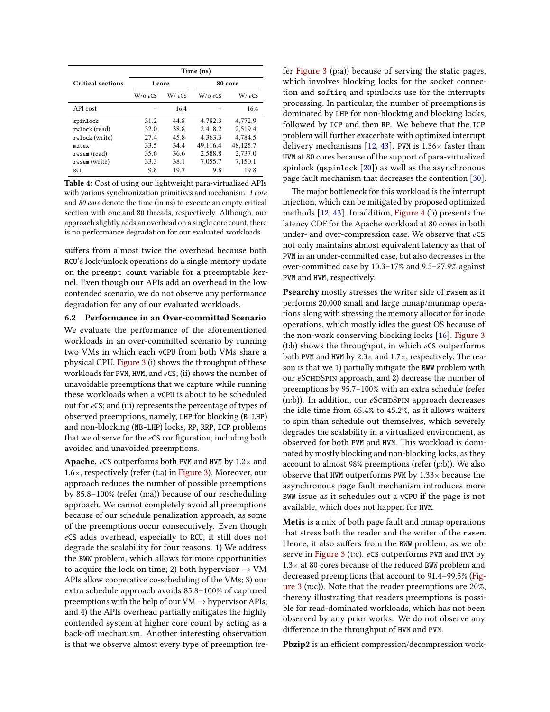<span id="page-6-1"></span>

|                          | Time (ns)  |          |            |          |  |  |  |
|--------------------------|------------|----------|------------|----------|--|--|--|
| <b>Critical sections</b> | 1 core     |          | 80 core    |          |  |  |  |
|                          | $W$ /0 eCS | $W/$ eCS | $W$ /0 eCS | $W/$ eCS |  |  |  |
| API cost                 |            | 16.4     |            | 16.4     |  |  |  |
| spinlock                 | 31.2       | 44.8     | 4.782.3    | 4,772.9  |  |  |  |
| rwlock (read)            | 32.0       | 38.8     | 2,418.2    | 2,519.4  |  |  |  |
| rwlock (write)           | 27.4       | 45.8     | 4,363.3    | 4,784.5  |  |  |  |
| mutex                    | 33.5       | 34.4     | 49,116.4   | 48,125.7 |  |  |  |
| rwsem (read)             | 35.6       | 36.6     | 2,588.8    | 2,737.0  |  |  |  |
| rwsem (write)            | 33.3       | 38.1     | 7,055.7    | 7,150.1  |  |  |  |
| RCU                      | 9.8        | 19.7     | 9.8        | 19.8     |  |  |  |

Table 4: Cost of using our lightweight para-virtualized APIs with various synchronization primitives and mechanism. 1 core and 80 core denote the time (in ns) to execute an empty critical section with one and 80 threads, respectively. Although, our approach slightly adds an overhead on a single core count, there is no performance degradation for our evaluated workloads.

suffers from almost twice the overhead because both RCU's lock/unlock operations do a single memory update on the preempt\_count variable for a preemptable kernel. Even though our APIs add an overhead in the low contended scenario, we do not observe any performance degradation for any of our evaluated workloads.

<span id="page-6-0"></span>6.2 Performance in an Over-committed Scenario We evaluate the performance of the aforementioned workloads in an over-committed scenario by running two VMs in which each vCPU from both VMs share a physical CPU. [Figure 3](#page-7-0) (i) shows the throughput of these workloads for PVM, HVM, and *e*CS; (ii) shows the number of unavoidable preemptions that we capture while running these workloads when a vCPU is about to be scheduled out for *e*CS; and (iii) represents the percentage of types of observed preemptions, namely, LHP for blocking (B-LHP) and non-blocking (NB-LHP) locks, RP, RRP, ICP problems that we observe for the *e*CS configuration, including both avoided and unavoided preemptions.

**Apache.** *e*CS outperforms both PVM and HVM by  $1.2 \times$  and 1.6×, respectively (refer (t:a) in [Figure 3\)](#page-7-0). Moreover, our approach reduces the number of possible preemptions by 85.8–100% (refer (n:a)) because of our rescheduling approach. We cannot completely avoid all preemptions because of our schedule penalization approach, as some of the preemptions occur consecutively. Even though *e*CS adds overhead, especially to RCU, it still does not degrade the scalability for four reasons: 1) We address the BWW problem, which allows for more opportunities to acquire the lock on time; 2) both hypervisor  $\rightarrow$  VM APIs allow cooperative co-scheduling of the VMs; 3) our extra schedule approach avoids 85.8–100% of captured preemptions with the help of our  $VM \rightarrow hypervisor$  APIs; and 4) the APIs overhead partially mitigates the highly contended system at higher core count by acting as a back-off mechanism. Another interesting observation is that we observe almost every type of preemption (refer [Figure 3](#page-7-0) (p:a)) because of serving the static pages, which involves blocking locks for the socket connection and softirq and spinlocks use for the interrupts processing. In particular, the number of preemptions is dominated by LHP for non-blocking and blocking locks, followed by ICP and then RP. We believe that the ICP problem will further exacerbate with optimized interrupt delivery mechanisms [\[12,](#page-11-18) [43\]](#page-12-9). PVM is  $1.36\times$  faster than HVM at 80 cores because of the support of para-virtualized spinlock (qspinlock [\[20\]](#page-11-15)) as well as the asynchronous page fault mechanism that decreases the contention [\[30\]](#page-11-33).

The major bottleneck for this workload is the interrupt injection, which can be mitigated by proposed optimized methods [\[12,](#page-11-18) [43\]](#page-12-9). In addition, [Figure 4](#page-7-1) (b) presents the latency CDF for the Apache workload at 80 cores in both under- and over-compression case. We observe that *e*CS not only maintains almost equivalent latency as that of PVM in an under-committed case, but also decreases in the over-committed case by 10.3–17% and 9.5–27.9% against PVM and HVM, respectively.

Psearchy mostly stresses the writer side of rwsem as it performs 20,000 small and large mmap/munmap operations along with stressing the memory allocator for inode operations, which mostly idles the guest OS because of the non-work conserving blocking locks [\[16\]](#page-11-9). [Figure 3](#page-7-0) (t:b) shows the throughput, in which *e*CS outperforms both PVM and HVM by  $2.3\times$  and  $1.7\times$ , respectively. The reason is that we 1) partially mitigate the BWW problem with our *e*SCHDSPIN approach, and 2) decrease the number of preemptions by 95.7–100% with an extra schedule (refer (n:b)). In addition, our *e*SCHDSPIN approach decreases the idle time from 65.4% to 45.2%, as it allows waiters to spin than schedule out themselves, which severely degrades the scalability in a virtualized environment, as observed for both PVM and HVM. This workload is dominated by mostly blocking and non-blocking locks, as they account to almost 98% preemptions (refer (p:b)). We also observe that HVM outperforms PVM by  $1.33\times$  because the asynchronous page fault mechanism introduces more BWW issue as it schedules out a vCPU if the page is not available, which does not happen for HVM.

Metis is a mix of both page fault and mmap operations that stress both the reader and the writer of the rwsem. Hence, it also suffers from the BWW problem, as we observe in [Figure 3](#page-7-0) (t:c). *e*CS outperforms PVM and HVM by  $1.3\times$  at 80 cores because of the reduced BWW problem and decreased preemptions that account to 91.4–99.5% [\(Fig](#page-7-0)[ure 3](#page-7-0) (n:c)). Note that the reader preemptions are 20%, thereby illustrating that readers preemptions is possible for read-dominated workloads, which has not been observed by any prior works. We do not observe any difference in the throughput of HVM and PVM.

Pbzip2 is an efficient compression/decompression work-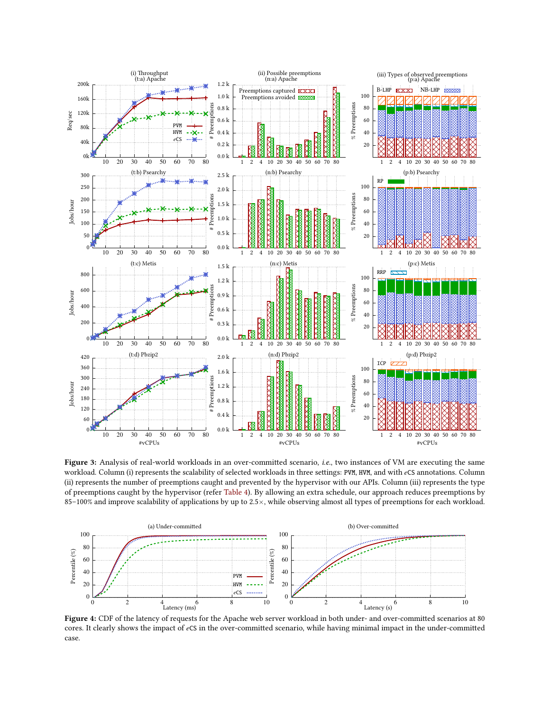<span id="page-7-0"></span>

Figure 3: Analysis of real-world workloads in an over-committed scenario, *i.e.*, two instances of VM are executing the same workload. Column (i) represents the scalability of selected workloads in three settings: PVM, HVM, and with *e*CS annotations. Column (ii) represents the number of preemptions caught and prevented by the hypervisor with our APIs. Column (iii) represents the type of preemptions caught by the hypervisor (refer [Table 4\)](#page-6-1). By allowing an extra schedule, our approach reduces preemptions by 85–100% and improve scalability of applications by up to 2.5×, while observing almost all types of preemptions for each workload.

<span id="page-7-1"></span>

Figure 4: CDF of the latency of requests for the Apache web server workload in both under- and over-committed scenarios at 80 cores. It clearly shows the impact of *e*CS in the over-committed scenario, while having minimal impact in the under-committed case.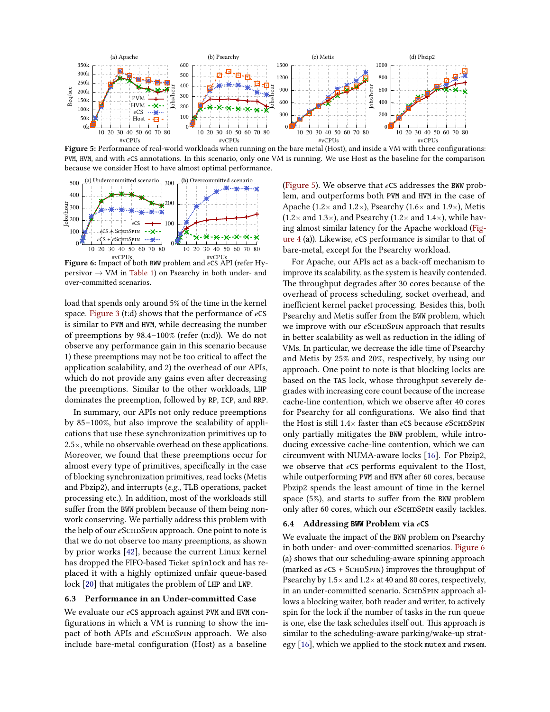<span id="page-8-3"></span>

Figure 5: Performance of real-world workloads when running on the bare metal (Host), and inside a VM with three configurations: PVM, HVM, and with *e*CS annotations. In this scenario, only one VM is running. We use Host as the baseline for the comparison because we consider Host to have almost optimal performance.

<span id="page-8-0"></span>

#vCPUs #vCPUs Figure 6: Impact of both BWW problem and *e*CS API (refer Hy $person \rightarrow VM$  in [Table 1\)](#page-3-1) on Psearchy in both under- and over-committed scenarios.

load that spends only around 5% of the time in the kernel space. [Figure 3](#page-7-0) (t:d) shows that the performance of *e*CS is similar to PVM and HVM, while decreasing the number of preemptions by 98.4–100% (refer (n:d)). We do not observe any performance gain in this scenario because 1) these preemptions may not be too critical to affect the application scalability, and 2) the overhead of our APIs, which do not provide any gains even after decreasing the preemptions. Similar to the other workloads, LHP dominates the preemption, followed by RP, ICP, and RRP.

In summary, our APIs not only reduce preemptions by 85–100%, but also improve the scalability of applications that use these synchronization primitives up to  $2.5\times$ , while no observable overhead on these applications. Moreover, we found that these preemptions occur for almost every type of primitives, specifically in the case of blocking synchronization primitives, read locks (Metis and Pbzip2), and interrupts (e.g., TLB operations, packet processing etc.). In addition, most of the workloads still suffer from the BWW problem because of them being nonwork conserving. We partially address this problem with the help of our *e*SCHDSPIN approach. One point to note is that we do not observe too many preemptions, as shown by prior works [\[42\]](#page-12-6), because the current Linux kernel has dropped the FIFO-based Ticket spinlock and has replaced it with a highly optimized unfair queue-based lock [\[20\]](#page-11-15) that mitigates the problem of LHP and LWP.

### <span id="page-8-1"></span>6.3 Performance in an Under-committed Case

We evaluate our *e*CS approach against PVM and HVM configurations in which a VM is running to show the impact of both APIs and *e*SCHDSPIN approach. We also include bare-metal configuration (Host) as a baseline

[\(Figure 5\)](#page-8-3). We observe that *e*CS addresses the BWW problem, and outperforms both PVM and HVM in the case of Apache (1.2 $\times$  and 1.2 $\times$ ), Psearchy (1.6 $\times$  and 1.9 $\times$ ), Metis  $(1.2\times$  and  $1.3\times)$ , and Psearchy  $(1.2\times$  and  $1.4\times)$ , while having almost similar latency for the Apache workload [\(Fig](#page-7-1)[ure 4](#page-7-1) (a)). Likewise, *e*CS performance is similar to that of bare-metal, except for the Psearchy workload.

For Apache, our APIs act as a back-off mechanism to improve its scalability, as the system is heavily contended. The throughput degrades after 30 cores because of the overhead of process scheduling, socket overhead, and inefficient kernel packet processing. Besides this, both Psearchy and Metis suffer from the BWW problem, which we improve with our *e*ScнDSPIN approach that results in better scalability as well as reduction in the idling of VMs. In particular, we decrease the idle time of Psearchy and Metis by 25% and 20%, respectively, by using our approach. One point to note is that blocking locks are based on the TAS lock, whose throughput severely degrades with increasing core count because of the increase cache-line contention, which we observe after 40 cores for Psearchy for all configurations. We also find that the Host is still 1.4× faster than *e*CS because *e*SCHDSPIN only partially mitigates the BWW problem, while introducing excessive cache-line contention, which we can circumvent with NUMA-aware locks [\[16\]](#page-11-9). For Pbzip2, we observe that *e*CS performs equivalent to the Host, while outperforming PVM and HVM after 60 cores, because Pbzip2 spends the least amount of time in the kernel space (5%), and starts to suffer from the BWW problem only after 60 cores, which our *eSCHDSPIN* easily tackles.

#### <span id="page-8-2"></span>6.4 Addressing BWW Problem via *e*CS

We evaluate the impact of the BWW problem on Psearchy in both under- and over-committed scenarios. [Figure 6](#page-8-0) (a) shows that our scheduling-aware spinning approach (marked as  $e$ CS + SCHDSPIN) improves the throughput of Psearchy by  $1.5 \times$  and  $1.2 \times$  at 40 and 80 cores, respectively, in an under-committed scenario. SCHDSPIN approach allows a blocking waiter, both reader and writer, to actively spin for the lock if the number of tasks in the run queue is one, else the task schedules itself out. This approach is similar to the scheduling-aware parking/wake-up strategy [\[16\]](#page-11-9), which we applied to the stock mutex and rwsem.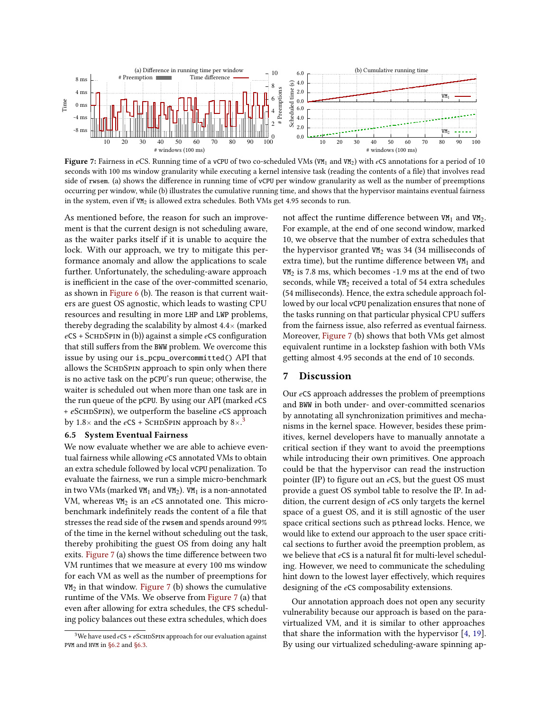<span id="page-9-2"></span>

Figure 7: Fairness in eCS. Running time of a vCPU of two co-scheduled VMs (VM<sub>1</sub> and VM<sub>2</sub>) with eCS annotations for a period of 10 seconds with 100 ms window granularity while executing a kernel intensive task (reading the contents of a file) that involves read side of rwsem. (a) shows the difference in running time of vCPU per window granularity as well as the number of preemptions occurring per window, while (b) illustrates the cumulative running time, and shows that the hypervisor maintains eventual fairness in the system, even if  $VM<sub>2</sub>$  is allowed extra schedules. Both VMs get 4.95 seconds to run.

As mentioned before, the reason for such an improvement is that the current design is not scheduling aware, as the waiter parks itself if it is unable to acquire the lock. With our approach, we try to mitigate this performance anomaly and allow the applications to scale further. Unfortunately, the scheduling-aware approach is inefficient in the case of the over-committed scenario, as shown in [Figure 6](#page-8-0) (b). The reason is that current waiters are guest OS agnostic, which leads to wasting CPU resources and resulting in more LHP and LWP problems, thereby degrading the scalability by almost  $4.4\times$  (marked *e*CS + SchdSpin in (b)) against a simple *e*CS configuration that still suffers from the BWW problem. We overcome this issue by using our is\_pcpu\_overcommitted() API that allows the SCHDSPIN approach to spin only when there is no active task on the pCPU's run queue; otherwise, the waiter is scheduled out when more than one task are in the run queue of the pCPU. By using our API (marked *e*CS + *e*SchdSpin), we outperform the baseline *e*CS approach by 1.8 $\times$  and the *e*CS + SCHDSPIN approach by 8 $\times$ .<sup>[3](#page-9-1)</sup>

#### <span id="page-9-0"></span>6.5 System Eventual Fairness

We now evaluate whether we are able to achieve eventual fairness while allowing *e*CS annotated VMs to obtain an extra schedule followed by local vCPU penalization. To evaluate the fairness, we run a simple micro-benchmark in two VMs (marked VM<sub>1</sub> and VM<sub>2</sub>). VM<sub>1</sub> is a non-annotated VM, whereas VM<sub>2</sub> is an eCS annotated one. This microbenchmark indefinitely reads the content of a file that stresses the read side of the rwsem and spends around 99% of the time in the kernel without scheduling out the task, thereby prohibiting the guest OS from doing any halt exits. [Figure 7](#page-9-2) (a) shows the time difference between two VM runtimes that we measure at every 100 ms window for each VM as well as the number of preemptions for  $VM<sub>2</sub>$  in that window. [Figure 7](#page-9-2) (b) shows the cumulative runtime of the VMs. We observe from [Figure 7](#page-9-2) (a) that even after allowing for extra schedules, the CFS scheduling policy balances out these extra schedules, which does

not affect the runtime difference between  $VM_1$  and  $VM_2$ . For example, at the end of one second window, marked 10, we observe that the number of extra schedules that the hypervisor granted  $VM<sub>2</sub>$  was 34 (34 milliseconds of extra time), but the runtime difference between  $VM<sub>1</sub>$  and  $VM<sub>2</sub>$  is 7.8 ms, which becomes -1.9 ms at the end of two seconds, while VM<sub>2</sub> received a total of 54 extra schedules (54 milliseconds). Hence, the extra schedule approach followed by our local vCPU penalization ensures that none of the tasks running on that particular physical CPU suffers from the fairness issue, also referred as eventual fairness. Moreover, [Figure 7](#page-9-2) (b) shows that both VMs get almost equivalent runtime in a lockstep fashion with both VMs getting almost 4.95 seconds at the end of 10 seconds.

## 7 Discussion

Our *e*CS approach addresses the problem of preemptions and BWW in both under- and over-committed scenarios by annotating all synchronization primitives and mechanisms in the kernel space. However, besides these primitives, kernel developers have to manually annotate a critical section if they want to avoid the preemptions while introducing their own primitives. One approach could be that the hypervisor can read the instruction pointer (IP) to figure out an *e*CS, but the guest OS must provide a guest OS symbol table to resolve the IP. In addition, the current design of *e*CS only targets the kernel space of a guest OS, and it is still agnostic of the user space critical sections such as pthread locks. Hence, we would like to extend our approach to the user space critical sections to further avoid the preemption problem, as we believe that *e*CS is a natural fit for multi-level scheduling. However, we need to communicate the scheduling hint down to the lowest layer effectively, which requires designing of the *e*CS composability extensions.

Our annotation approach does not open any security vulnerability because our approach is based on the paravirtualized VM, and it is similar to other approaches that share the information with the hypervisor [\[4,](#page-11-24) [19\]](#page-11-8). By using our virtualized scheduling-aware spinning ap-

<span id="page-9-1"></span><sup>&</sup>lt;sup>3</sup>We have used  $e$ CS +  $e$ SCHDSPIN approach for our evaluation against PVM and HVM in [§6.2](#page-6-0) and [§6.3.](#page-8-1)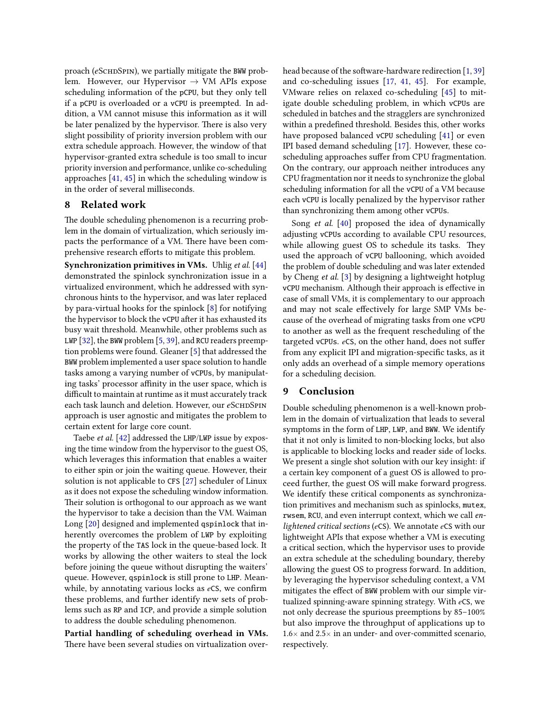proach (*e*SCHDSPIN), we partially mitigate the BWW problem. However, our Hypervisor  $\rightarrow$  VM APIs expose scheduling information of the pCPU, but they only tell if a pCPU is overloaded or a vCPU is preempted. In addition, a VM cannot misuse this information as it will be later penalized by the hypervisor. There is also very slight possibility of priority inversion problem with our extra schedule approach. However, the window of that hypervisor-granted extra schedule is too small to incur priority inversion and performance, unlike co-scheduling approaches [\[41,](#page-12-4) [45\]](#page-12-5) in which the scheduling window is in the order of several milliseconds.

## 8 Related work

The double scheduling phenomenon is a recurring problem in the domain of virtualization, which seriously impacts the performance of a VM. There have been comprehensive research efforts to mitigate this problem.

Synchronization primitives in VMs. Uhlig et al. [\[44\]](#page-12-7) demonstrated the spinlock synchronization issue in a virtualized environment, which he addressed with synchronous hints to the hypervisor, and was later replaced by para-virtual hooks for the spinlock [\[8\]](#page-11-5) for notifying the hypervisor to block the vCPU after it has exhausted its busy wait threshold. Meanwhile, other problems such as LWP [\[32\]](#page-11-34), the BWW problem [\[5,](#page-11-7) [39\]](#page-12-8), and RCU readers preemption problems were found. Gleaner [\[5\]](#page-11-7) that addressed the BWW problem implemented a user space solution to handle tasks among a varying number of vCPUs, by manipulating tasks' processor affinity in the user space, which is difficult to maintain at runtime as it must accurately track each task launch and deletion. However, our *eSCHDSPIN* approach is user agnostic and mitigates the problem to certain extent for large core count.

Taebe et al. [\[42\]](#page-12-6) addressed the LHP/LWP issue by exposing the time window from the hypervisor to the guest OS, which leverages this information that enables a waiter to either spin or join the waiting queue. However, their solution is not applicable to CFS [\[27\]](#page-11-10) scheduler of Linux as it does not expose the scheduling window information. Their solution is orthogonal to our approach as we want the hypervisor to take a decision than the VM. Waiman Long [\[20\]](#page-11-15) designed and implemented qspinlock that inherently overcomes the problem of LWP by exploiting the property of the TAS lock in the queue-based lock. It works by allowing the other waiters to steal the lock before joining the queue without disrupting the waiters' queue. However, qspinlock is still prone to LHP. Meanwhile, by annotating various locks as *e*CS, we confirm these problems, and further identify new sets of problems such as RP and ICP, and provide a simple solution to address the double scheduling phenomenon.

Partial handling of scheduling overhead in VMs. There have been several studies on virtualization overhead because of the software-hardware redirection [\[1,](#page-11-35) [39\]](#page-12-8) and co-scheduling issues [\[17,](#page-11-4) [41,](#page-12-4) [45\]](#page-12-5). For example, VMware relies on relaxed co-scheduling [\[45\]](#page-12-5) to mitigate double scheduling problem, in which vCPUs are scheduled in batches and the stragglers are synchronized within a predefined threshold. Besides this, other works have proposed balanced vCPU scheduling [\[41\]](#page-12-4) or even IPI based demand scheduling [\[17\]](#page-11-4). However, these coscheduling approaches suffer from CPU fragmentation. On the contrary, our approach neither introduces any CPU fragmentation nor it needs to synchronize the global scheduling information for all the vCPU of a VM because each vCPU is locally penalized by the hypervisor rather than synchronizing them among other vCPUs.

Song et al. [\[40\]](#page-12-3) proposed the idea of dynamically adjusting vCPUs according to available CPU resources, while allowing guest OS to schedule its tasks. They used the approach of vCPU ballooning, which avoided the problem of double scheduling and was later extended by Cheng et al. [\[3\]](#page-11-20) by designing a lightweight hotplug vCPU mechanism. Although their approach is effective in case of small VMs, it is complementary to our approach and may not scale effectively for large SMP VMs because of the overhead of migrating tasks from one vCPU to another as well as the frequent rescheduling of the targeted vCPUs. *e*CS, on the other hand, does not suffer from any explicit IPI and migration-specific tasks, as it only adds an overhead of a simple memory operations for a scheduling decision.

## 9 Conclusion

Double scheduling phenomenon is a well-known problem in the domain of virtualization that leads to several symptoms in the form of LHP, LWP, and BWW. We identify that it not only is limited to non-blocking locks, but also is applicable to blocking locks and reader side of locks. We present a single shot solution with our key insight: if a certain key component of a guest OS is allowed to proceed further, the guest OS will make forward progress. We identify these critical components as synchronization primitives and mechanism such as spinlocks, mutex, rwsem, RCU, and even interrupt context, which we call enlightened critical sections (*e*CS). We annotate *e*CS with our lightweight APIs that expose whether a VM is executing a critical section, which the hypervisor uses to provide an extra schedule at the scheduling boundary, thereby allowing the guest OS to progress forward. In addition, by leveraging the hypervisor scheduling context, a VM mitigates the effect of BWW problem with our simple virtualized spinning-aware spinning strategy. With *e*CS, we not only decrease the spurious preemptions by 85–100% but also improve the throughput of applications up to  $1.6\times$  and  $2.5\times$  in an under- and over-committed scenario, respectively.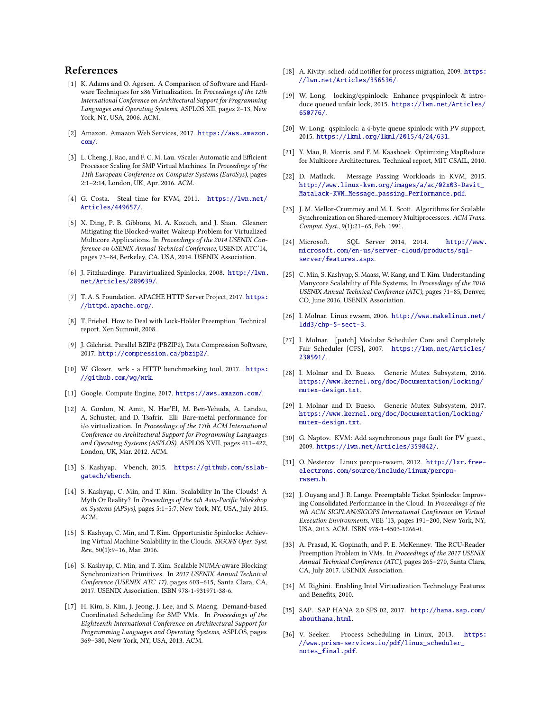## References

- <span id="page-11-35"></span>[1] K. Adams and O. Agesen. A Comparison of Software and Hardware Techniques for x86 Virtualization. In Proceedings of the 12th International Conference on Architectural Support for Programming Languages and Operating Systems, ASPLOS XII, pages 2–13, New York, NY, USA, 2006. ACM.
- <span id="page-11-0"></span>[2] Amazon. Amazon Web Services, 2017. [https://aws.amazon.](https://aws.amazon.com/) [com/](https://aws.amazon.com/).
- <span id="page-11-20"></span>[3] L. Cheng, J. Rao, and F. C. M. Lau. vScale: Automatic and Efficient Processor Scaling for SMP Virtual Machines. In Proceedings of the 11th European Conference on Computer Systems (EuroSys), pages 2:1–2:14, London, UK, Apr. 2016. ACM.
- <span id="page-11-24"></span>[4] G. Costa. Steal time for KVM, 2011. [https://lwn.net/](https://lwn.net/Articles/449657/) [Articles/449657/](https://lwn.net/Articles/449657/).
- <span id="page-11-7"></span>[5] X. Ding, P. B. Gibbons, M. A. Kozuch, and J. Shan. Gleaner: Mitigating the Blocked-waiter Wakeup Problem for Virtualized Multicore Applications. In Proceedings of the 2014 USENIX Conference on USENIX Annual Technical Conference, USENIX ATC'14, pages 73–84, Berkeley, CA, USA, 2014. USENIX Association.
- <span id="page-11-16"></span>[6] J. Fitzhardinge. Paravirtualized Spinlocks, 2008. [http://lwn.](http://lwn.net/Articles/289039/) [net/Articles/289039/](http://lwn.net/Articles/289039/).
- <span id="page-11-28"></span>[7] T. A. S. Foundation. APACHE HTTP Server Project, 2017. [https:](https://httpd.apache.org/) [//httpd.apache.org/](https://httpd.apache.org/).
- <span id="page-11-5"></span>[8] T. Friebel. How to Deal with Lock-Holder Preemption. Technical report, Xen Summit, 2008.
- <span id="page-11-30"></span>[9] J. Gilchrist. Parallel BZIP2 (PBZIP2), Data Compression Software, 2017. <http://compression.ca/pbzip2/>.
- <span id="page-11-31"></span>[10] W. Glozer. wrk - a HTTP benchmarking tool, 2017. [https:](https://github.com/wg/wrk) [//github.com/wg/wrk](https://github.com/wg/wrk).
- <span id="page-11-1"></span>[11] Google. Compute Engine, 2017. <https://aws.amazon.com/>.
- <span id="page-11-18"></span>[12] A. Gordon, N. Amit, N. Har'El, M. Ben-Yehuda, A. Landau, A. Schuster, and D. Tsafrir. Eli: Bare-metal performance for i/o virtualization. In Proceedings of the 17th ACM International Conference on Architectural Support for Programming Languages and Operating Systems (ASPLOS), ASPLOS XVII, pages 411–422, London, UK, Mar. 2012. ACM.
- <span id="page-11-27"></span>[13] S. Kashyap. Vbench, 2015. [https://github.com/sslab](https://github.com/sslab-gatech/vbench)[gatech/vbench](https://github.com/sslab-gatech/vbench).
- <span id="page-11-11"></span>[14] S. Kashyap, C. Min, and T. Kim. Scalability In The Clouds! A Myth Or Reality? In Proceedings of the 6th Asia-Pacific Workshop on Systems (APSys), pages 5:1–5:7, New York, NY, USA, July 2015. ACM.
- <span id="page-11-6"></span>[15] S. Kashyap, C. Min, and T. Kim. Opportunistic Spinlocks: Achieving Virtual Machine Scalability in the Clouds. SIGOPS Oper. Syst. Rev., 50(1):9–16, Mar. 2016.
- <span id="page-11-9"></span>[16] S. Kashyap, C. Min, and T. Kim. Scalable NUMA-aware Blocking Synchronization Primitives. In 2017 USENIX Annual Technical Conference (USENIX ATC 17), pages 603–615, Santa Clara, CA, 2017. USENIX Association. ISBN 978-1-931971-38-6.
- <span id="page-11-4"></span>[17] H. Kim, S. Kim, J. Jeong, J. Lee, and S. Maeng. Demand-based Coordinated Scheduling for SMP VMs. In Proceedings of the Eighteenth International Conference on Architectural Support for Programming Languages and Operating Systems, ASPLOS, pages 369–380, New York, NY, USA, 2013. ACM.
- <span id="page-11-25"></span>[18] A. Kivity. sched: add notifier for process migration, 2009. [https:](https://lwn.net/Articles/356536/) [//lwn.net/Articles/356536/](https://lwn.net/Articles/356536/).
- <span id="page-11-8"></span>[19] W. Long. locking/qspinlock: Enhance pvqspinlock & introduce queued unfair lock, 2015. [https://lwn.net/Articles/](https://lwn.net/Articles/650776/) [650776/](https://lwn.net/Articles/650776/).
- <span id="page-11-15"></span>[20] W. Long. qspinlock: a 4-byte queue spinlock with PV support, 2015. <https://lkml.org/lkml/2015/4/24/631>.
- <span id="page-11-29"></span>[21] Y. Mao, R. Morris, and F. M. Kaashoek. Optimizing MapReduce for Multicore Architectures. Technical report, MIT CSAIL, 2010.
- <span id="page-11-32"></span>[22] D. Matlack. Message Passing Workloads in KVM, 2015. [http://www.linux-kvm.org/images/a/ac/02x03-Davit\\_](http://www.linux-kvm.org/images/a/ac/02x03-Davit_Matalack-KVM_Message_passing_Performance.pdf) [Matalack-KVM\\_Message\\_passing\\_Performance.pdf](http://www.linux-kvm.org/images/a/ac/02x03-Davit_Matalack-KVM_Message_passing_Performance.pdf).
- <span id="page-11-22"></span>[23] J. M. Mellor-Crummey and M. L. Scott. Algorithms for Scalable Synchronization on Shared-memory Multiprocessors. ACM Trans. Comput. Syst., 9(1):21–65, Feb. 1991.
- <span id="page-11-2"></span>[24] Microsoft. SQL Server 2014, 2014. [http://www.](http://www.microsoft.com/en-us/server-cloud/products/sql-server/features.aspx) [microsoft.com/en-us/server-cloud/products/sql](http://www.microsoft.com/en-us/server-cloud/products/sql-server/features.aspx)[server/features.aspx](http://www.microsoft.com/en-us/server-cloud/products/sql-server/features.aspx).
- <span id="page-11-21"></span>[25] C. Min, S. Kashyap, S. Maass, W. Kang, and T. Kim. Understanding Manycore Scalability of File Systems. In Proceedings of the 2016 USENIX Annual Technical Conference (ATC), pages 71–85, Denver, CO, June 2016. USENIX Association.
- <span id="page-11-13"></span>[26] I. Molnar. Linux rwsem, 2006. [http://www.makelinux.net/](http://www.makelinux.net/ldd3/chp-5-sect-3) [ldd3/chp-5-sect-3](http://www.makelinux.net/ldd3/chp-5-sect-3).
- <span id="page-11-10"></span>[27] I. Molnar. [patch] Modular Scheduler Core and Completely Fair Scheduler [CFS], 2007. [https://lwn.net/Articles/](https://lwn.net/Articles/230501/) [230501/](https://lwn.net/Articles/230501/).
- <span id="page-11-12"></span>[28] I. Molnar and D. Bueso. Generic Mutex Subsystem, 2016. [https://www.kernel.org/doc/Documentation/locking/](https://www.kernel.org/doc/Documentation/locking/mutex-design.txt) [mutex-design.txt](https://www.kernel.org/doc/Documentation/locking/mutex-design.txt).
- <span id="page-11-23"></span>[29] I. Molnar and D. Bueso. Generic Mutex Subsystem, 2017. [https://www.kernel.org/doc/Documentation/locking/](https://www.kernel.org/doc/Documentation/locking/mutex-design.txt) [mutex-design.txt](https://www.kernel.org/doc/Documentation/locking/mutex-design.txt).
- <span id="page-11-33"></span>[30] G. Naptov. KVM: Add asynchronous page fault for PV guest., 2009. <https://lwn.net/Articles/359842/>.
- <span id="page-11-14"></span>[31] O. Nesterov. Linux percpu-rwsem, 2012. [http://lxr.free](http://lxr.free-electrons.com/source/include/linux/percpu-rwsem.h)[electrons.com/source/include/linux/percpu](http://lxr.free-electrons.com/source/include/linux/percpu-rwsem.h)[rwsem.h](http://lxr.free-electrons.com/source/include/linux/percpu-rwsem.h).
- <span id="page-11-34"></span>[32] J. Ouyang and J. R. Lange. Preemptable Ticket Spinlocks: Improving Consolidated Performance in the Cloud. In Proceedings of the 9th ACM SIGPLAN/SIGOPS International Conference on Virtual Execution Environments, VEE '13, pages 191–200, New York, NY, USA, 2013. ACM. ISBN 978-1-4503-1266-0.
- <span id="page-11-17"></span>[33] A. Prasad, K. Gopinath, and P. E. McKenney. The RCU-Reader Preemption Problem in VMs. In Proceedings of the 2017 USENIX Annual Technical Conference (ATC), pages 265–270, Santa Clara, CA, July 2017. USENIX Association.
- <span id="page-11-19"></span>[34] M. Righini. Enabling Intel Virtualization Technology Features and Benefits, 2010.
- <span id="page-11-3"></span>[35] SAP. SAP HANA 2.0 SPS 02, 2017. [http://hana.sap.com/](http://hana.sap.com/abouthana.html) [abouthana.html](http://hana.sap.com/abouthana.html).
- <span id="page-11-26"></span>[36] V. Seeker. Process Scheduling in Linux, 2013. [https:](https://www.prism-services.io/pdf/linux_scheduler_notes_final.pdf) [//www.prism-services.io/pdf/linux\\_scheduler\\_](https://www.prism-services.io/pdf/linux_scheduler_notes_final.pdf) [notes\\_final.pdf](https://www.prism-services.io/pdf/linux_scheduler_notes_final.pdf).